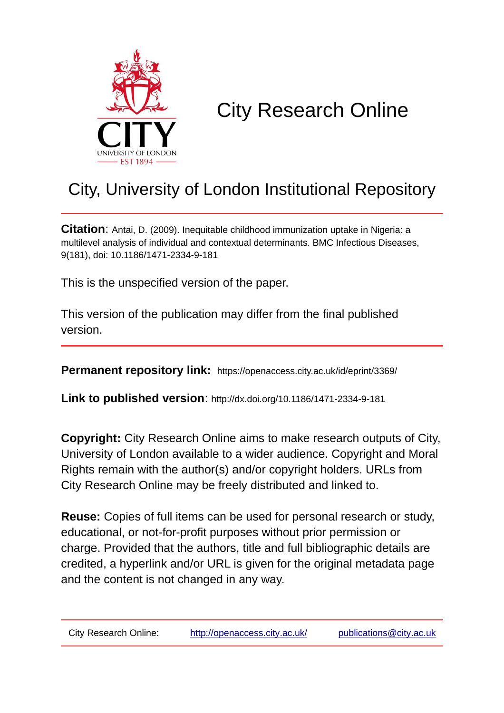

# City Research Online

# City, University of London Institutional Repository

**Citation**: Antai, D. (2009). Inequitable childhood immunization uptake in Nigeria: a multilevel analysis of individual and contextual determinants. BMC Infectious Diseases, 9(181), doi: 10.1186/1471-2334-9-181

This is the unspecified version of the paper.

This version of the publication may differ from the final published version.

**Permanent repository link:** https://openaccess.city.ac.uk/id/eprint/3369/

**Link to published version**: http://dx.doi.org/10.1186/1471-2334-9-181

**Copyright:** City Research Online aims to make research outputs of City, University of London available to a wider audience. Copyright and Moral Rights remain with the author(s) and/or copyright holders. URLs from City Research Online may be freely distributed and linked to.

**Reuse:** Copies of full items can be used for personal research or study, educational, or not-for-profit purposes without prior permission or charge. Provided that the authors, title and full bibliographic details are credited, a hyperlink and/or URL is given for the original metadata page and the content is not changed in any way.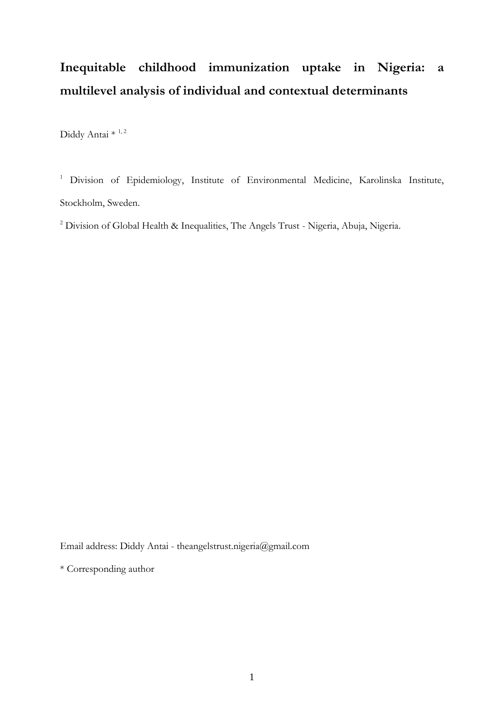# **Inequitable childhood immunization uptake in Nigeria: a multilevel analysis of individual and contextual determinants**

Diddy Antai \* 1, 2

<sup>1</sup> Division of Epidemiology, Institute of Environmental Medicine, Karolinska Institute, Stockholm, Sweden.

<sup>2</sup> Division of Global Health & Inequalities, The Angels Trust - Nigeria, Abuja, Nigeria.

Email address: Diddy Antai - [theangelstrust.nigeria@gmail.com](mailto:theangelstrust.nigeria@gmail.com)

\* Corresponding author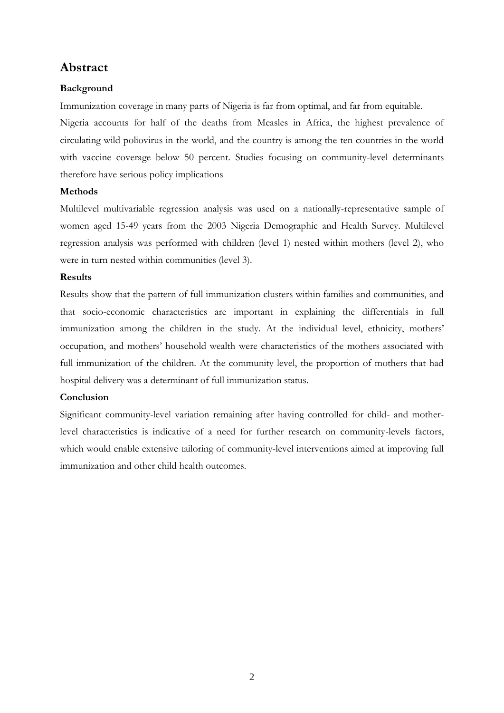# **Abstract**

## **Background**

Immunization coverage in many parts of Nigeria is far from optimal, and far from equitable.

Nigeria accounts for half of the deaths from Measles in Africa, the highest prevalence of circulating wild poliovirus in the world, and the country is among the ten countries in the world with vaccine coverage below 50 percent. Studies focusing on community-level determinants therefore have serious policy implications

#### **Methods**

Multilevel multivariable regression analysis was used on a nationally-representative sample of women aged 15-49 years from the 2003 Nigeria Demographic and Health Survey. Multilevel regression analysis was performed with children (level 1) nested within mothers (level 2), who were in turn nested within communities (level 3).

#### **Results**

Results show that the pattern of full immunization clusters within families and communities, and that socio-economic characteristics are important in explaining the differentials in full immunization among the children in the study. At the individual level, ethnicity, mothers' occupation, and mothers' household wealth were characteristics of the mothers associated with full immunization of the children. At the community level, the proportion of mothers that had hospital delivery was a determinant of full immunization status.

#### **Conclusion**

Significant community-level variation remaining after having controlled for child- and motherlevel characteristics is indicative of a need for further research on community-levels factors, which would enable extensive tailoring of community-level interventions aimed at improving full immunization and other child health outcomes.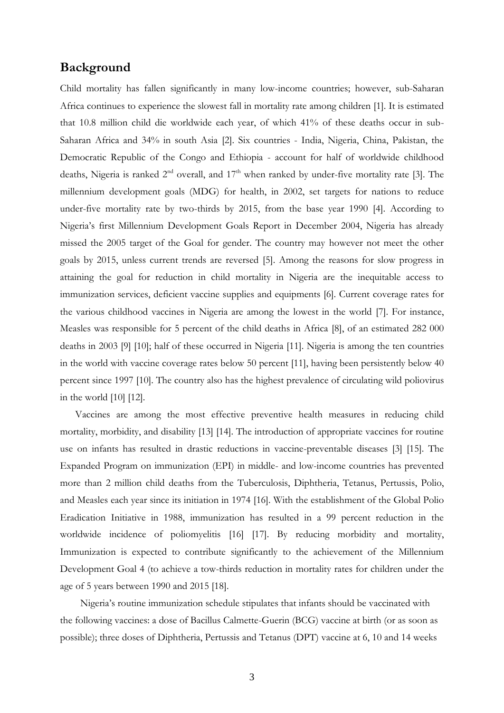## **Background**

Child mortality has fallen significantly in many low-income countries; however, sub-Saharan Africa continues to experience the slowest fall in mortality rate among children [1]. It is estimated that 10.8 million child die worldwide each year, of which 41% of these deaths occur in sub-Saharan Africa and 34% in south Asia [2]. Six countries - India, Nigeria, China, Pakistan, the Democratic Republic of the Congo and Ethiopia - account for half of worldwide childhood deaths, Nigeria is ranked  $2<sup>nd</sup>$  overall, and  $17<sup>th</sup>$  when ranked by under-five mortality rate [3]. The millennium development goals (MDG) for health, in 2002, set targets for nations to reduce under-five mortality rate by two-thirds by 2015, from the base year 1990 [4]. According to Nigeria's first Millennium Development Goals Report in December 2004, Nigeria has already missed the 2005 target of the Goal for gender. The country may however not meet the other goals by 2015, unless current trends are reversed [5]. Among the reasons for slow progress in attaining the goal for reduction in child mortality in Nigeria are the inequitable access to immunization services, deficient vaccine supplies and equipments [6]. Current coverage rates for the various childhood vaccines in Nigeria are among the lowest in the world [7]. For instance, Measles was responsible for 5 percent of the child deaths in Africa [8], of an estimated 282 000 deaths in 2003 [9] [10]; half of these occurred in Nigeria [11]. Nigeria is among the ten countries in the world with vaccine coverage rates below 50 percent [11], having been persistently below 40 percent since 1997 [10]. The country also has the highest prevalence of circulating wild poliovirus in the world [10] [12].

 Vaccines are among the most effective preventive health measures in reducing child mortality, morbidity, and disability [13] [14]. The introduction of appropriate vaccines for routine use on infants has resulted in drastic reductions in vaccine-preventable diseases [3] [15]. The Expanded Program on immunization (EPI) in middle- and low-income countries has prevented more than 2 million child deaths from the Tuberculosis, Diphtheria, Tetanus, Pertussis, Polio, and Measles each year since its initiation in 1974 [16]. With the establishment of the Global Polio Eradication Initiative in 1988, immunization has resulted in a 99 percent reduction in the worldwide incidence of poliomyelitis [16] [17]. By reducing morbidity and mortality, Immunization is expected to contribute significantly to the achievement of the Millennium Development Goal 4 (to achieve a tow-thirds reduction in mortality rates for children under the age of 5 years between 1990 and 2015 [18].

 Nigeria's routine immunization schedule stipulates that infants should be vaccinated with the following vaccines: a dose of Bacillus Calmette-Guerin (BCG) vaccine at birth (or as soon as possible); three doses of Diphtheria, Pertussis and Tetanus (DPT) vaccine at 6, 10 and 14 weeks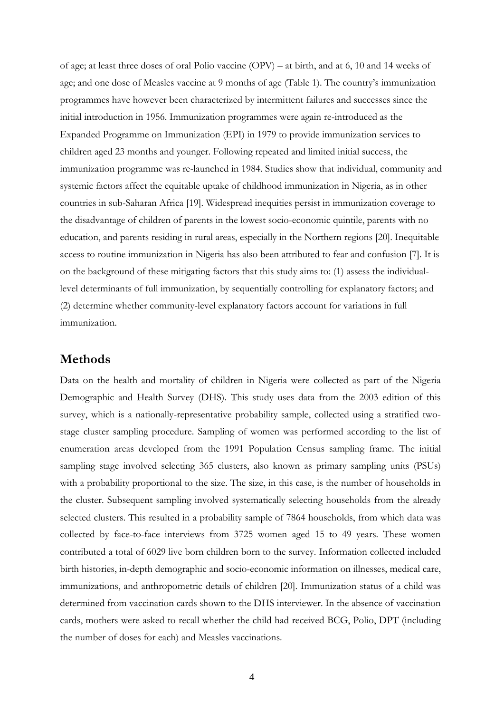of age; at least three doses of oral Polio vaccine (OPV) – at birth, and at 6, 10 and 14 weeks of age; and one dose of Measles vaccine at 9 months of age (Table 1). The country's immunization programmes have however been characterized by intermittent failures and successes since the initial introduction in 1956. Immunization programmes were again re-introduced as the Expanded Programme on Immunization (EPI) in 1979 to provide immunization services to children aged 23 months and younger. Following repeated and limited initial success, the immunization programme was re-launched in 1984. Studies show that individual, community and systemic factors affect the equitable uptake of childhood immunization in Nigeria, as in other countries in sub-Saharan Africa [19]. Widespread inequities persist in immunization coverage to the disadvantage of children of parents in the lowest socio-economic quintile, parents with no education, and parents residing in rural areas, especially in the Northern regions [20]. Inequitable access to routine immunization in Nigeria has also been attributed to fear and confusion [7]. It is on the background of these mitigating factors that this study aims to: (1) assess the individuallevel determinants of full immunization, by sequentially controlling for explanatory factors; and (2) determine whether community-level explanatory factors account for variations in full immunization.

## **Methods**

Data on the health and mortality of children in Nigeria were collected as part of the Nigeria Demographic and Health Survey (DHS). This study uses data from the 2003 edition of this survey, which is a nationally-representative probability sample, collected using a stratified twostage cluster sampling procedure. Sampling of women was performed according to the list of enumeration areas developed from the 1991 Population Census sampling frame. The initial sampling stage involved selecting 365 clusters, also known as primary sampling units (PSUs) with a probability proportional to the size. The size, in this case, is the number of households in the cluster. Subsequent sampling involved systematically selecting households from the already selected clusters. This resulted in a probability sample of 7864 households, from which data was collected by face-to-face interviews from 3725 women aged 15 to 49 years. These women contributed a total of 6029 live born children born to the survey. Information collected included birth histories, in-depth demographic and socio-economic information on illnesses, medical care, immunizations, and anthropometric details of children [20]. Immunization status of a child was determined from vaccination cards shown to the DHS interviewer. In the absence of vaccination cards, mothers were asked to recall whether the child had received BCG, Polio, DPT (including the number of doses for each) and Measles vaccinations.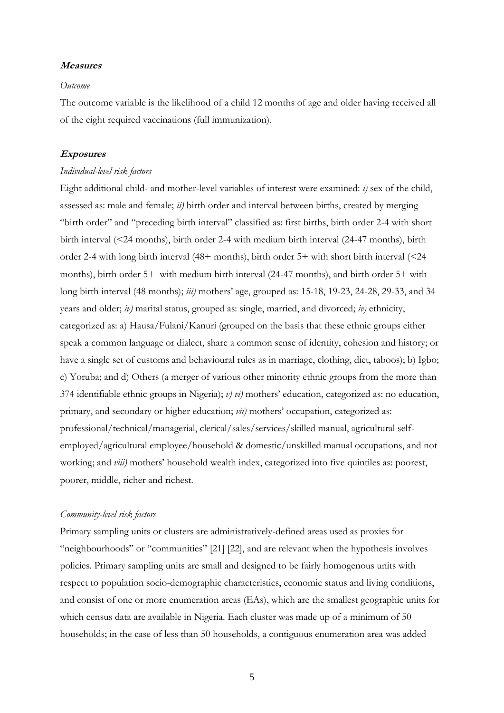#### **Measures**

#### *Outcome*

The outcome variable is the likelihood of a child 12 months of age and older having received all of the eight required vaccinations (full immunization).

#### **Exposures**

#### *Individual-level risk factors*

Eight additional child- and mother-level variables of interest were examined: *i*) sex of the child, assessed as: male and female; *ii)* birth order and interval between births, created by merging "birth order" and "preceding birth interval" classified as: first births, birth order 2-4 with short birth interval (<24 months), birth order 2-4 with medium birth interval (24-47 months), birth order 2-4 with long birth interval (48+ months), birth order 5+ with short birth interval (<24 months), birth order 5+ with medium birth interval (24-47 months), and birth order 5+ with long birth interval (48 months); *iii)* mothers' age, grouped as: 15-18, 19-23, 24-28, 29-33, and 34 years and older; *iv)* marital status, grouped as: single, married, and divorced; *iv)* ethnicity, categorized as: a) Hausa/Fulani/Kanuri (grouped on the basis that these ethnic groups either speak a common language or dialect, share a common sense of identity, cohesion and history; or have a single set of customs and behavioural rules as in marriage, clothing, diet, taboos); b) Igbo; c) Yoruba; and d) Others (a merger of various other minority ethnic groups from the more than 374 identifiable ethnic groups in Nigeria); *v) vi)* mothers' education, categorized as: no education, primary, and secondary or higher education; *vii)* mothers' occupation, categorized as: professional/technical/managerial, clerical/sales/services/skilled manual, agricultural selfemployed/agricultural employee/household & domestic/unskilled manual occupations, and not working; and *viii)* mothers' household wealth index, categorized into five quintiles as: poorest, poorer, middle, richer and richest.

#### *Community-level risk factors*

Primary sampling units or clusters are administratively-defined areas used as proxies for "neighbourhoods" or "communities" [21] [22], and are relevant when the hypothesis involves policies. Primary sampling units are small and designed to be fairly homogenous units with respect to population socio-demographic characteristics, economic status and living conditions, and consist of one or more enumeration areas (EAs), which are the smallest geographic units for which census data are available in Nigeria. Each cluster was made up of a minimum of 50 households; in the case of less than 50 households, a contiguous enumeration area was added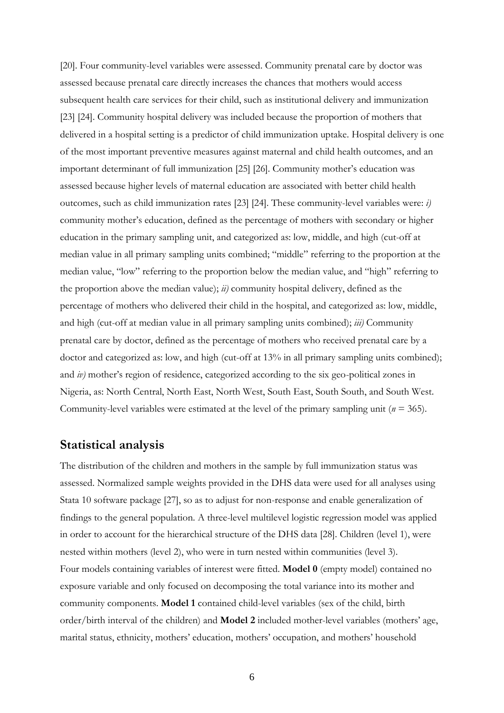[20]. Four community-level variables were assessed. Community prenatal care by doctor was assessed because prenatal care directly increases the chances that mothers would access subsequent health care services for their child, such as institutional delivery and immunization [23] [24]. Community hospital delivery was included because the proportion of mothers that delivered in a hospital setting is a predictor of child immunization uptake. Hospital delivery is one of the most important preventive measures against maternal and child health outcomes, and an important determinant of full immunization [25] [26]. Community mother's education was assessed because higher levels of maternal education are associated with better child health outcomes, such as child immunization rates [23] [24]. These community-level variables were: *i)* community mother's education, defined as the percentage of mothers with secondary or higher education in the primary sampling unit, and categorized as: low, middle, and high (cut-off at median value in all primary sampling units combined; "middle" referring to the proportion at the median value, "low" referring to the proportion below the median value, and "high" referring to the proportion above the median value); *ii)* community hospital delivery, defined as the percentage of mothers who delivered their child in the hospital, and categorized as: low, middle, and high (cut-off at median value in all primary sampling units combined); *iii)* Community prenatal care by doctor, defined as the percentage of mothers who received prenatal care by a doctor and categorized as: low, and high (cut-off at 13% in all primary sampling units combined); and *iv)* mother's region of residence, categorized according to the six geo-political zones in Nigeria, as: North Central, North East, North West, South East, South South, and South West. Community-level variables were estimated at the level of the primary sampling unit (*n* = 365).

## **Statistical analysis**

The distribution of the children and mothers in the sample by full immunization status was assessed. Normalized sample weights provided in the DHS data were used for all analyses using Stata 10 software package [27], so as to adjust for non-response and enable generalization of findings to the general population. A three-level multilevel logistic regression model was applied in order to account for the hierarchical structure of the DHS data [28]. Children (level 1), were nested within mothers (level 2), who were in turn nested within communities (level 3). Four models containing variables of interest were fitted. **Model 0** (empty model) contained no exposure variable and only focused on decomposing the total variance into its mother and community components. **Model 1** contained child-level variables (sex of the child, birth order/birth interval of the children) and **Model 2** included mother-level variables (mothers' age, marital status, ethnicity, mothers' education, mothers' occupation, and mothers' household

<sup>6</sup>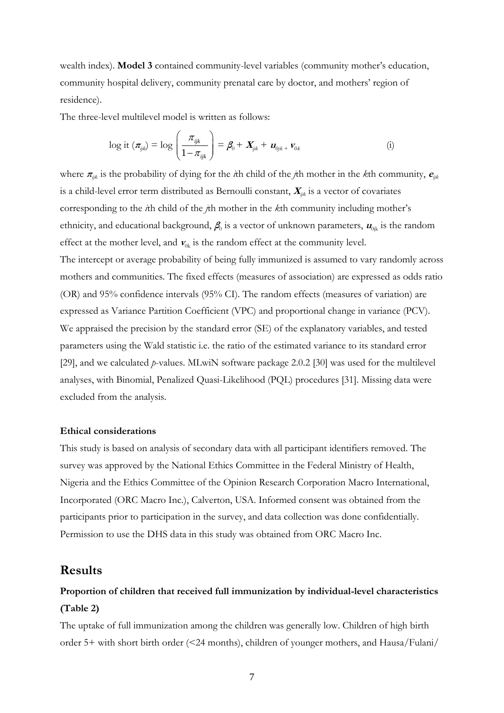wealth index). **Model 3** contained community-level variables (community mother's education, community hospital delivery, community prenatal care by doctor, and mothers' region of residence).

The three-level multilevel model is written as follows:

$$
\log \mathrm{i} t \left( \pi_{ijk} \right) = \log \left( \frac{\pi_{ijk}}{1 - \pi_{ijk}} \right) = \beta_0 + \mathbf{X}_{ijk} + \mathbf{u}_{0jk} + \mathbf{v}_{0k} \tag{i}
$$

where  $\pi_{ijk}$  is the probability of dying for the *i*th child of the *j*th mother in the *k*th community,  $e_{ijk}$ is a child-level error term distributed as Bernoulli constant,  $X_{ijk}$  is a vector of covariates corresponding to the *i*th child of the *j*th mother in the *k*th community including mother's ethnicity, and educational background,  $\beta_0$  is a vector of unknown parameters,  $\bm{u}_{0jk}$  is the random effect at the mother level, and  $v_{0k}$  is the random effect at the community level. The intercept or average probability of being fully immunized is assumed to vary randomly across mothers and communities. The fixed effects (measures of association) are expressed as odds ratio (OR) and 95% confidence intervals (95% CI). The random effects (measures of variation) are expressed as Variance Partition Coefficient (VPC) and proportional change in variance (PCV). We appraised the precision by the standard error (SE) of the explanatory variables, and tested parameters using the Wald statistic i.e. the ratio of the estimated variance to its standard error [29], and we calculated *p*-values. MLwiN software package 2.0.2 [30] was used for the multilevel analyses, with Binomial, Penalized Quasi-Likelihood (PQL) procedures [31]. Missing data were excluded from the analysis.

#### **Ethical considerations**

This study is based on analysis of secondary data with all participant identifiers removed. The survey was approved by the National Ethics Committee in the Federal Ministry of Health, Nigeria and the Ethics Committee of the Opinion Research Corporation Macro International, Incorporated (ORC Macro Inc.), Calverton, USA. Informed consent was obtained from the participants prior to participation in the survey, and data collection was done confidentially. Permission to use the DHS data in this study was obtained from ORC Macro Inc.

## **Results**

# **Proportion of children that received full immunization by individual-level characteristics (Table 2)**

The uptake of full immunization among the children was generally low. Children of high birth order 5+ with short birth order (<24 months), children of younger mothers, and Hausa/Fulani/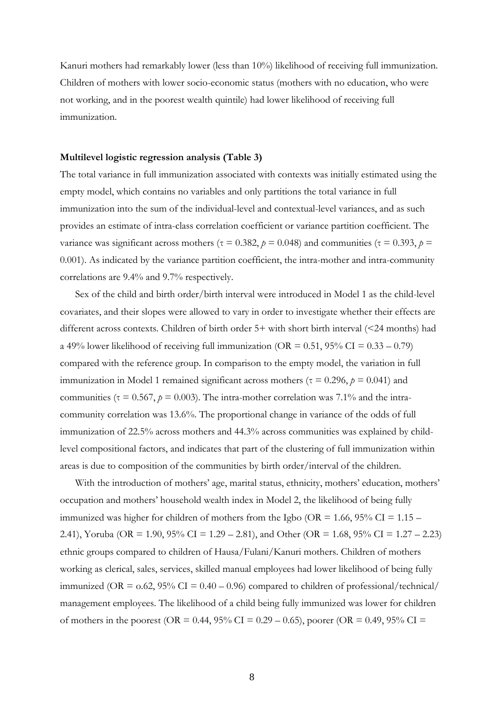Kanuri mothers had remarkably lower (less than 10%) likelihood of receiving full immunization. Children of mothers with lower socio-economic status (mothers with no education, who were not working, and in the poorest wealth quintile) had lower likelihood of receiving full immunization.

#### **Multilevel logistic regression analysis (Table 3)**

The total variance in full immunization associated with contexts was initially estimated using the empty model, which contains no variables and only partitions the total variance in full immunization into the sum of the individual-level and contextual-level variances, and as such provides an estimate of intra-class correlation coefficient or variance partition coefficient. The variance was significant across mothers (τ = 0.382,  $p = 0.048$ ) and communities (τ = 0.393,  $p =$ 0.001). As indicated by the variance partition coefficient, the intra-mother and intra-community correlations are 9.4% and 9.7% respectively.

 Sex of the child and birth order/birth interval were introduced in Model 1 as the child-level covariates, and their slopes were allowed to vary in order to investigate whether their effects are different across contexts. Children of birth order 5+ with short birth interval (<24 months) had a 49% lower likelihood of receiving full immunization (OR =  $0.51$ , 95% CI =  $0.33 - 0.79$ ) compared with the reference group. In comparison to the empty model, the variation in full immunization in Model 1 remained significant across mothers ( $\tau = 0.296$ ,  $p = 0.041$ ) and communities ( $\tau = 0.567$ ,  $p = 0.003$ ). The intra-mother correlation was 7.1% and the intracommunity correlation was 13.6%. The proportional change in variance of the odds of full immunization of 22.5% across mothers and 44.3% across communities was explained by childlevel compositional factors, and indicates that part of the clustering of full immunization within areas is due to composition of the communities by birth order/interval of the children.

 With the introduction of mothers' age, marital status, ethnicity, mothers' education, mothers' occupation and mothers' household wealth index in Model 2, the likelihood of being fully immunized was higher for children of mothers from the Igbo ( $OR = 1.66$ ,  $95\%$  CI = 1.15 – 2.41), Yoruba (OR = 1.90, 95% CI = 1.29 – 2.81), and Other (OR = 1.68, 95% CI = 1.27 – 2.23) ethnic groups compared to children of Hausa/Fulani/Kanuri mothers. Children of mothers working as clerical, sales, services, skilled manual employees had lower likelihood of being fully immunized (OR =  $0.62$ , 95% CI =  $0.40 - 0.96$ ) compared to children of professional/technical/ management employees. The likelihood of a child being fully immunized was lower for children of mothers in the poorest (OR = 0.44, 95% CI = 0.29 – 0.65), poorer (OR = 0.49, 95% CI =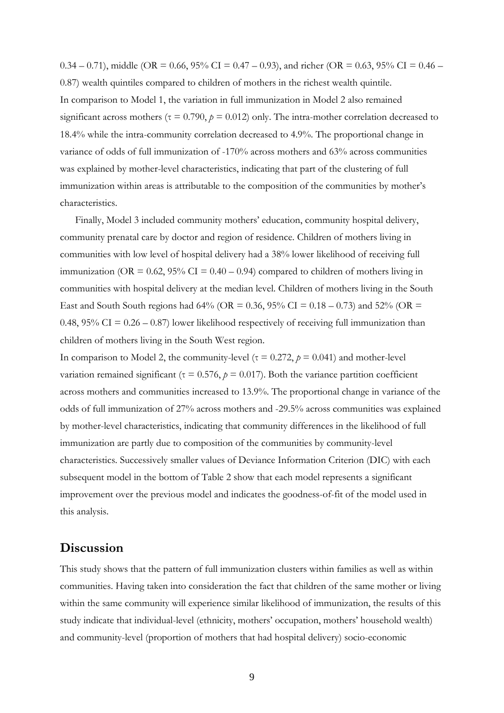0.34 – 0.71), middle (OR = 0.66, 95% CI = 0.47 – 0.93), and richer (OR = 0.63, 95% CI = 0.46 – 0.87) wealth quintiles compared to children of mothers in the richest wealth quintile. In comparison to Model 1, the variation in full immunization in Model 2 also remained significant across mothers ( $\tau = 0.790$ ,  $p = 0.012$ ) only. The intra-mother correlation decreased to 18.4% while the intra-community correlation decreased to 4.9%. The proportional change in variance of odds of full immunization of -170% across mothers and 63% across communities was explained by mother-level characteristics, indicating that part of the clustering of full immunization within areas is attributable to the composition of the communities by mother's characteristics.

 Finally, Model 3 included community mothers' education, community hospital delivery, community prenatal care by doctor and region of residence. Children of mothers living in communities with low level of hospital delivery had a 38% lower likelihood of receiving full immunization (OR =  $0.62$ ,  $95\%$  CI =  $0.40 - 0.94$ ) compared to children of mothers living in communities with hospital delivery at the median level. Children of mothers living in the South East and South South regions had  $64\%$  (OR = 0.36, 95% CI = 0.18 – 0.73) and 52% (OR = 0.48, 95% CI =  $0.26 - 0.87$  lower likelihood respectively of receiving full immunization than children of mothers living in the South West region.

In comparison to Model 2, the community-level ( $τ = 0.272$ ,  $p = 0.041$ ) and mother-level variation remained significant ( $\tau = 0.576$ ,  $p = 0.017$ ). Both the variance partition coefficient across mothers and communities increased to 13.9%. The proportional change in variance of the odds of full immunization of 27% across mothers and -29.5% across communities was explained by mother-level characteristics, indicating that community differences in the likelihood of full immunization are partly due to composition of the communities by community-level characteristics. Successively smaller values of Deviance Information Criterion (DIC) with each subsequent model in the bottom of Table 2 show that each model represents a significant improvement over the previous model and indicates the goodness-of-fit of the model used in this analysis.

## **Discussion**

This study shows that the pattern of full immunization clusters within families as well as within communities. Having taken into consideration the fact that children of the same mother or living within the same community will experience similar likelihood of immunization, the results of this study indicate that individual-level (ethnicity, mothers' occupation, mothers' household wealth) and community-level (proportion of mothers that had hospital delivery) socio-economic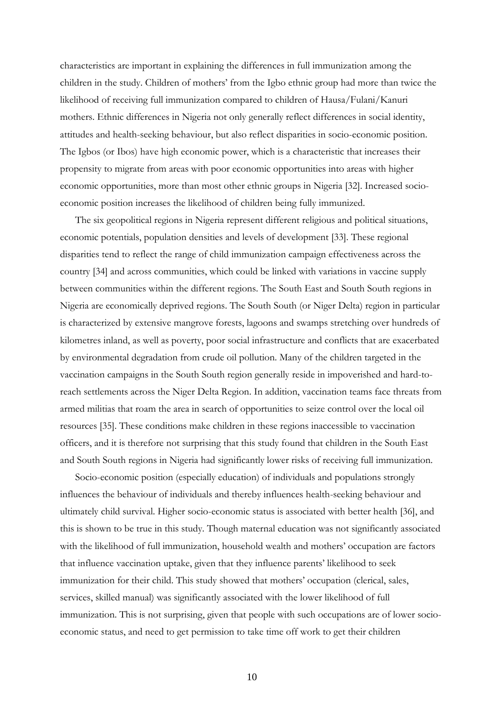characteristics are important in explaining the differences in full immunization among the children in the study. Children of mothers' from the Igbo ethnic group had more than twice the likelihood of receiving full immunization compared to children of Hausa/Fulani/Kanuri mothers. Ethnic differences in Nigeria not only generally reflect differences in social identity, attitudes and health-seeking behaviour, but also reflect disparities in socio-economic position. The Igbos (or Ibos) have high economic power, which is a characteristic that increases their propensity to migrate from areas with poor economic opportunities into areas with higher economic opportunities, more than most other ethnic groups in Nigeria [32]. Increased socioeconomic position increases the likelihood of children being fully immunized.

 The six geopolitical regions in Nigeria represent different religious and political situations, economic potentials, population densities and levels of development [33]. These regional disparities tend to reflect the range of child immunization campaign effectiveness across the country [34] and across communities, which could be linked with variations in vaccine supply between communities within the different regions. The South East and South South regions in Nigeria are economically deprived regions. The South South (or Niger Delta) region in particular is characterized by extensive mangrove forests, lagoons and swamps stretching over hundreds of kilometres inland, as well as poverty, poor social infrastructure and conflicts that are exacerbated by environmental degradation from crude oil pollution. Many of the children targeted in the vaccination campaigns in the South South region generally reside in impoverished and hard-toreach settlements across the Niger Delta Region. In addition, vaccination teams face threats from armed militias that roam the area in search of opportunities to seize control over the local oil resources [35]. These conditions make children in these regions inaccessible to vaccination officers, and it is therefore not surprising that this study found that children in the South East and South South regions in Nigeria had significantly lower risks of receiving full immunization.

 Socio-economic position (especially education) of individuals and populations strongly influences the behaviour of individuals and thereby influences health-seeking behaviour and ultimately child survival. Higher socio-economic status is associated with better health [36], and this is shown to be true in this study. Though maternal education was not significantly associated with the likelihood of full immunization, household wealth and mothers' occupation are factors that influence vaccination uptake, given that they influence parents' likelihood to seek immunization for their child. This study showed that mothers' occupation (clerical, sales, services, skilled manual) was significantly associated with the lower likelihood of full immunization. This is not surprising, given that people with such occupations are of lower socioeconomic status, and need to get permission to take time off work to get their children

10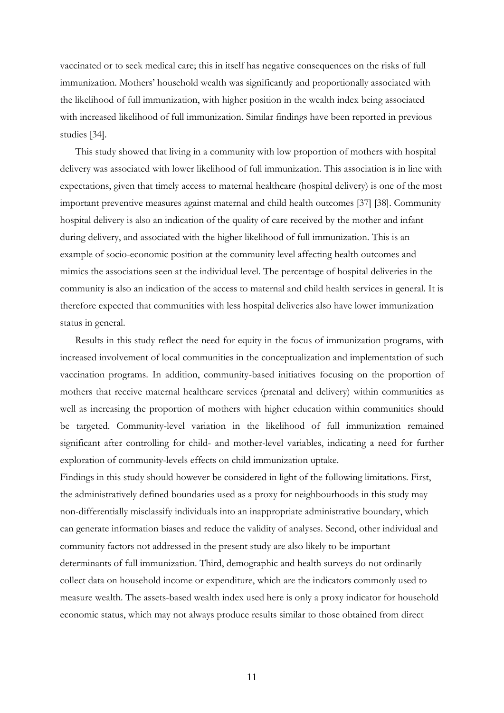vaccinated or to seek medical care; this in itself has negative consequences on the risks of full immunization. Mothers' household wealth was significantly and proportionally associated with the likelihood of full immunization, with higher position in the wealth index being associated with increased likelihood of full immunization. Similar findings have been reported in previous studies [34].

 This study showed that living in a community with low proportion of mothers with hospital delivery was associated with lower likelihood of full immunization. This association is in line with expectations, given that timely access to maternal healthcare (hospital delivery) is one of the most important preventive measures against maternal and child health outcomes [37] [38]. Community hospital delivery is also an indication of the quality of care received by the mother and infant during delivery, and associated with the higher likelihood of full immunization. This is an example of socio-economic position at the community level affecting health outcomes and mimics the associations seen at the individual level. The percentage of hospital deliveries in the community is also an indication of the access to maternal and child health services in general. It is therefore expected that communities with less hospital deliveries also have lower immunization status in general.

 Results in this study reflect the need for equity in the focus of immunization programs, with increased involvement of local communities in the conceptualization and implementation of such vaccination programs. In addition, community-based initiatives focusing on the proportion of mothers that receive maternal healthcare services (prenatal and delivery) within communities as well as increasing the proportion of mothers with higher education within communities should be targeted. Community-level variation in the likelihood of full immunization remained significant after controlling for child- and mother-level variables, indicating a need for further exploration of community-levels effects on child immunization uptake.

Findings in this study should however be considered in light of the following limitations. First, the administratively defined boundaries used as a proxy for neighbourhoods in this study may non-differentially misclassify individuals into an inappropriate administrative boundary, which can generate information biases and reduce the validity of analyses. Second, other individual and community factors not addressed in the present study are also likely to be important determinants of full immunization. Third, demographic and health surveys do not ordinarily collect data on household income or expenditure, which are the indicators commonly used to measure wealth. The assets-based wealth index used here is only a proxy indicator for household economic status, which may not always produce results similar to those obtained from direct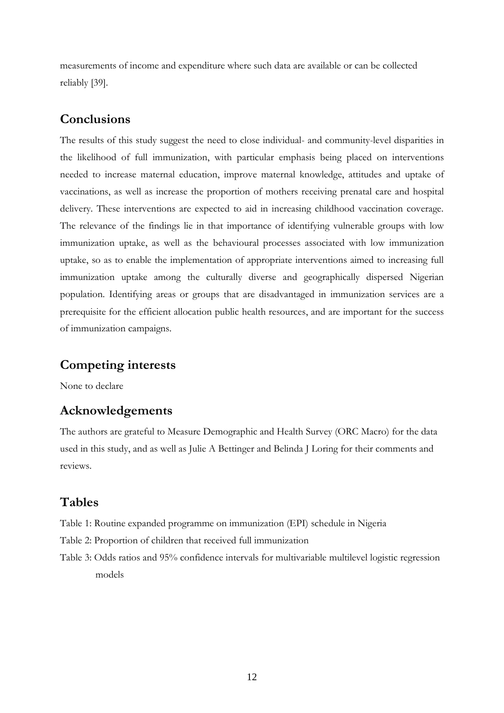measurements of income and expenditure where such data are available or can be collected reliably [39].

# **Conclusions**

The results of this study suggest the need to close individual- and community-level disparities in the likelihood of full immunization, with particular emphasis being placed on interventions needed to increase maternal education, improve maternal knowledge, attitudes and uptake of vaccinations, as well as increase the proportion of mothers receiving prenatal care and hospital delivery. These interventions are expected to aid in increasing childhood vaccination coverage. The relevance of the findings lie in that importance of identifying vulnerable groups with low immunization uptake, as well as the behavioural processes associated with low immunization uptake, so as to enable the implementation of appropriate interventions aimed to increasing full immunization uptake among the culturally diverse and geographically dispersed Nigerian population. Identifying areas or groups that are disadvantaged in immunization services are a prerequisite for the efficient allocation public health resources, and are important for the success of immunization campaigns.

## **Competing interests**

None to declare

# **Acknowledgements**

The authors are grateful to Measure Demographic and Health Survey (ORC Macro) for the data used in this study, and as well as Julie A Bettinger and Belinda J Loring for their comments and reviews.

# **Tables**

Table 1: Routine expanded programme on immunization (EPI) schedule in Nigeria

- Table 2: Proportion of children that received full immunization
- Table 3: Odds ratios and 95% confidence intervals for multivariable multilevel logistic regression models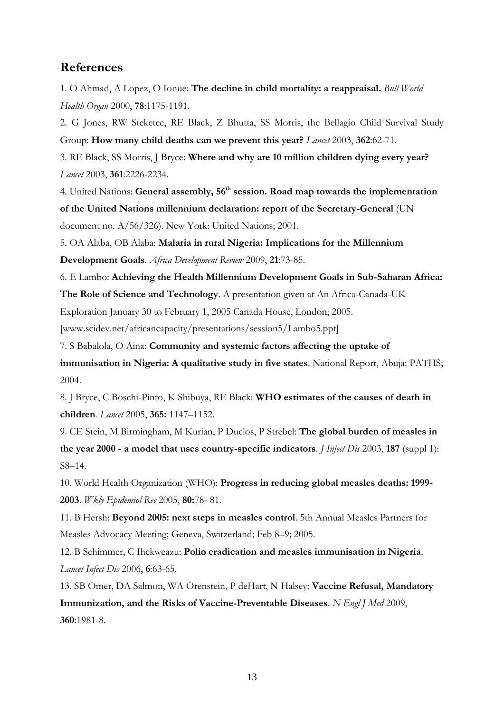## **References**

1. O Ahmad, A Lopez, O Ionue: **The decline in child mortality: a reappraisal.** *Bull World Health Organ* 2000, **78**:1175-1191.

2. G Jones, RW Steketee, RE Black, Z Bhutta, SS Morris, the Bellagio Child Survival Study Group: **How many child deaths can we prevent this year?** *Lancet* 2003, **362**:62-71.

3. RE Black, SS Morris, J Bryce: **Where and why are 10 million children dying every year?** *Lancet* 2003, **361**:2226-2234.

4. United Nations: **General assembly, 56th session. Road map towards the implementation of the United Nations millennium declaration: report of the Secretary-General** (UN document no. A/56/326). New York: United Nations; 2001.

5. OA Alaba, OB Alaba: **Malaria in rural Nigeria: Implications for the Millennium Development Goals**. *Africa Development Review* 2009, **21**:73-85.

6. E Lambo: **Achieving the Health Millennium Development Goals in Sub-Saharan Africa: The Role of Science and Technology**. A presentation given at An Africa-Canada-UK

Exploration January 30 to February 1, 2005 Canada House, London; 2005.

[www.scidev.net/africancapacity/presentations/session5/Lambo5.ppt]

7. S Babalola, O Aina: **Community and systemic factors affecting the uptake of** 

**immunisation in Nigeria: A qualitative study in five states**. National Report, Abuja: PATHS; 2004.

8. J Bryce, C Boschi-Pinto, K Shibuya, RE Black: **WHO estimates of the causes of death in children***. Lancet* 2005, **365:** 1147–1152.

9. CE Stein, M Birmingham, M Kurian, P Duclos, P Strebel: **The global burden of measles in the year 2000 - a model that uses country-specific indicators**. *J Infect Dis* 2003, **187** (suppl 1): S8–14.

10. World Health Organization (WHO): **Progress in reducing global measles deaths: 1999- 2003**. *Wkly Epidemiol Rec* 2005, **80:**78- 81.

11. B Hersh: **Beyond 2005: next steps in measles control**. 5th Annual Measles Partners for Measles Advocacy Meeting; Geneva, Switzerland; Feb 8–9; 2005.

12. B Schimmer, C Ihekweazu: **Polio eradication and measles immunisation in Nigeria**. *Lancet Infect Dis* 2006, **6**:63-65.

13. SB Omer, DA Salmon, WA Orenstein, P deHart, N Halsey: **Vaccine Refusal, Mandatory Immunization, and the Risks of Vaccine-Preventable Diseases**. *N Engl J Med* 2009, **360**:1981-8.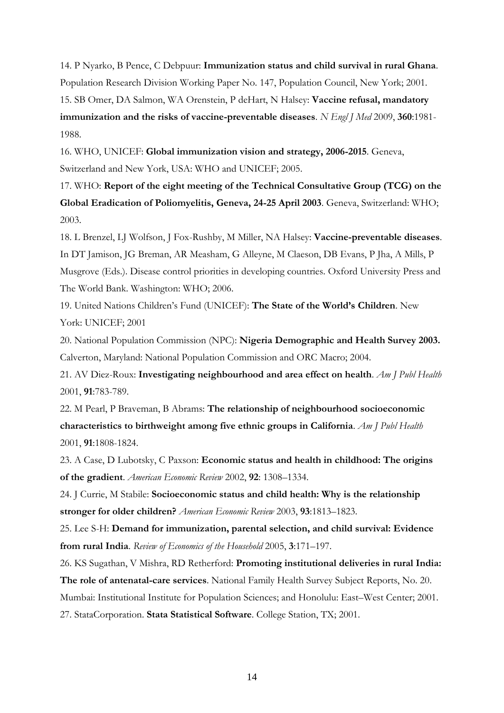14. P Nyarko, B Pence, C Debpuur: **Immunization status and child survival in rural Ghana**. Population Research Division Working Paper No. 147, Population Council, New York; 2001. 15. SB Omer, DA Salmon, WA Orenstein, P deHart, N Halsey: **Vaccine refusal, mandatory immunization and the risks of vaccine-preventable diseases**. *N Engl J Med* 2009, **360**:1981- 1988.

16. WHO, UNICEF: **Global immunization vision and strategy, 2006-2015**. Geneva, Switzerland and New York, USA: WHO and UNICEF; 2005.

17. WHO: **Report of the eight meeting of the Technical Consultative Group (TCG) on the Global Eradication of Poliomyelitis, Geneva, 24-25 April 2003**. Geneva, Switzerland: WHO; 2003.

18. L Brenzel, LJ Wolfson, J Fox-Rushby, M Miller, NA Halsey: **Vaccine-preventable diseases**. In DT Jamison, JG Breman, AR Measham, G Alleyne, M Claeson, DB Evans, P Jha, A Mills, P Musgrove (Eds.). Disease control priorities in developing countries. Oxford University Press and The World Bank. Washington: WHO; 2006.

19. United Nations Children's Fund (UNICEF): **The State of the World's Children**. New York: UNICEF; 2001

20. National Population Commission (NPC): **Nigeria Demographic and Health Survey 2003.** Calverton, Maryland: National Population Commission and ORC Macro; 2004.

21. AV Diez-Roux: **Investigating neighbourhood and area effect on health**. *Am J Publ Health* 2001, **91**:783-789.

22. M Pearl, P Braveman, B Abrams: **The relationship of neighbourhood socioeconomic characteristics to birthweight among five ethnic groups in California**. *Am J Publ Health* 2001, **91**:1808-1824.

23. A Case, D Lubotsky, C Paxson: **Economic status and health in childhood: The origins of the gradient**. *American Economic Review* 2002, **92**: 1308–1334.

24. J Currie, M Stabile: **Socioeconomic status and child health: Why is the relationship stronger for older children?** *American Economic Review* 2003, **93**:1813–1823.

25. Lee S-H: **Demand for immunization, parental selection, and child survival: Evidence from rural India**. *Review of Economics of the Household* 2005, **3**:171–197.

26. KS Sugathan, V Mishra, RD Retherford: **Promoting institutional deliveries in rural India: The role of antenatal-care services**. National Family Health Survey Subject Reports, No. 20. Mumbai: Institutional Institute for Population Sciences; and Honolulu: East–West Center; 2001. 27. StataCorporation. **Stata Statistical Software**. College Station, TX; 2001.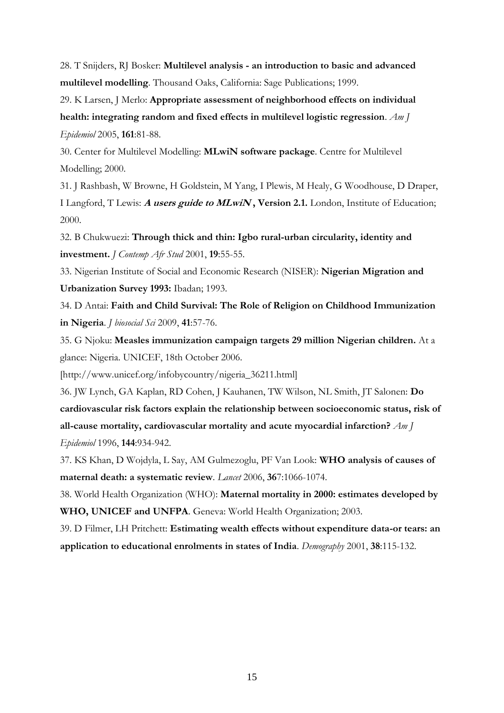28. T Snijders, RJ Bosker: **Multilevel analysis - an introduction to basic and advanced multilevel modelling**. Thousand Oaks, California: Sage Publications; 1999.

29. K Larsen, J Merlo: **Appropriate assessment of neighborhood effects on individual health: integrating random and fixed effects in multilevel logistic regression**. *Am J Epidemiol* 2005, **161**:81-88.

30. Center for Multilevel Modelling: **MLwiN software package**. Centre for Multilevel Modelling; 2000.

31. J Rashbash, W Browne, H Goldstein, M Yang, I Plewis, M Healy, G Woodhouse, D Draper, I Langford, T Lewis: **A users guide to MLwiN , Version 2.1.** London, Institute of Education; 2000.

32. B Chukwuezi: **Through thick and thin: Igbo rural-urban circularity, identity and investment.** *J Contemp Afr Stud* 2001, **19**:55-55.

33. Nigerian Institute of Social and Economic Research (NISER): **Nigerian Migration and Urbanization Survey 1993:** Ibadan; 1993.

34. D Antai: **Faith and Child Survival: The Role of Religion on Childhood Immunization in Nigeria**. *J biosocial Sci* 2009, **41**:57-76.

35. G Njoku: **Measles immunization campaign targets 29 million Nigerian children.** At a glance: Nigeria. UNICEF, 18th October 2006.

[http://www.unicef.org/infobycountry/nigeria\_36211.html]

36. JW Lynch, GA Kaplan, RD Cohen, J Kauhanen, TW Wilson, NL Smith, JT Salonen: **Do cardiovascular risk factors explain the relationship between socioeconomic status, risk of all-cause mortality, cardiovascular mortality and acute myocardial infarction?** *Am J Epidemiol* 1996, **144**:934-942.

37. KS Khan, D Wojdyla, L Say, AM Gulmezoglu, PF Van Look: **WHO analysis of causes of maternal death: a systematic review**. *Lancet* 2006, **36**7:1066-1074.

38. World Health Organization (WHO): **Maternal mortality in 2000: estimates developed by WHO, UNICEF and UNFPA**. Geneva: World Health Organization; 2003.

39. D Filmer, LH Pritchett: **Estimating wealth effects without expenditure data-or tears: an application to educational enrolments in states of India**. *Demography* 2001, **38**:115-132.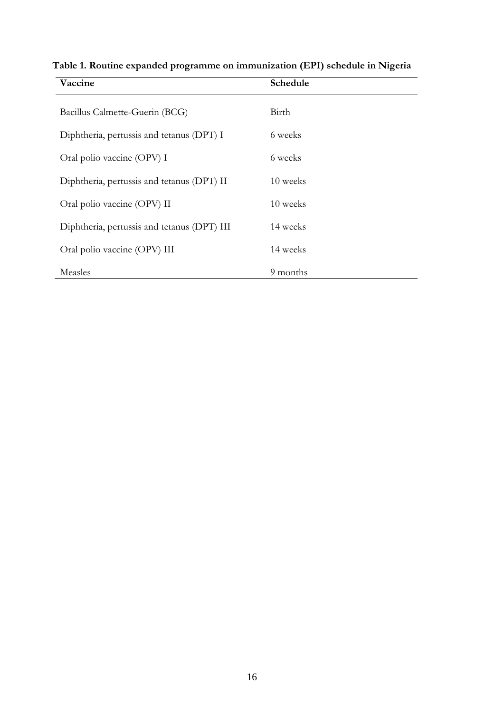| Vaccine                                     | Schedule |
|---------------------------------------------|----------|
| Bacillus Calmette-Guerin (BCG)              | Birth    |
| Diphtheria, pertussis and tetanus (DPT) I   | 6 weeks  |
| Oral polio vaccine (OPV) I                  | 6 weeks  |
| Diphtheria, pertussis and tetanus (DPT) II  | 10 weeks |
| Oral polio vaccine (OPV) II                 | 10 weeks |
| Diphtheria, pertussis and tetanus (DPT) III | 14 weeks |
| Oral polio vaccine (OPV) III                | 14 weeks |
| Measles                                     | 9 months |

**Table 1. Routine expanded programme on immunization (EPI) schedule in Nigeria**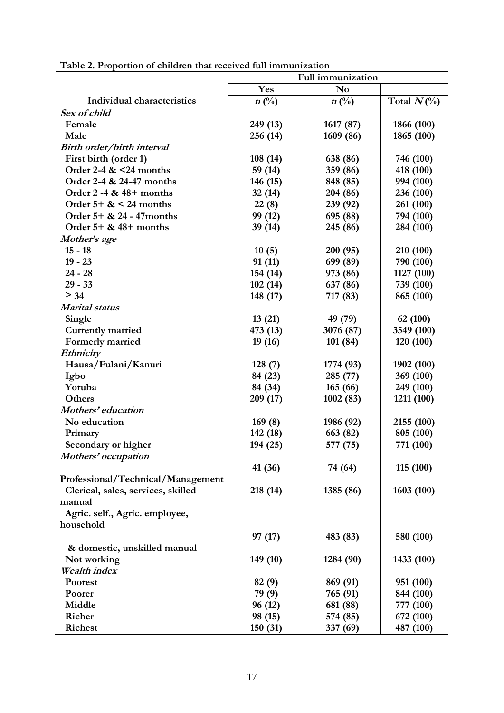|                                    | Full immunization |                |               |  |
|------------------------------------|-------------------|----------------|---------------|--|
|                                    | Yes               | N <sub>0</sub> |               |  |
| Individual characteristics         | $n(^{0}_{0})$     | $n(^{0}_{0})$  | Total $N(\%)$ |  |
| Sex of child                       |                   |                |               |  |
| Female                             | 249 (13)          | 1617 (87)      | 1866 (100)    |  |
| Male                               | 256 (14)          | 1609 (86)      | 1865 (100)    |  |
| Birth order/birth interval         |                   |                |               |  |
| First birth (order 1)              | 108(14)           | 638 (86)       | 746 (100)     |  |
| Order 2-4 & $\leq$ 24 months       | 59 (14)           | 359 (86)       | 418 (100)     |  |
| Order 2-4 & 24-47 months           | 146 (15)          | 848 (85)       | 994 (100)     |  |
| Order $2 - 4$ & $48 +$ months      | 32(14)            | 204 (86)       | 236 (100)     |  |
| Order $5+$ & $\leq$ 24 months      | 22(8)             | 239 (92)       | 261 (100)     |  |
| Order 5+ & 24 - 47months           | 99 (12)           | 695 (88)       | 794 (100)     |  |
| Order $5+$ & $48+$ months          | 39 (14)           | 245 (86)       | 284 (100)     |  |
| Mother's age                       |                   |                |               |  |
| $15 - 18$                          | 10(5)             | 200 (95)       | 210 (100)     |  |
| $19 - 23$                          | 91(11)            | 699 (89)       | 790 (100)     |  |
| $24 - 28$                          | 154 (14)          | 973 (86)       | 1127 (100)    |  |
| $29 - 33$                          | 102(14)           | 637 (86)       | 739 (100)     |  |
| $\geq$ 34                          | 148 (17)          | 717 (83)       | 865 (100)     |  |
| <b>Marital status</b>              |                   |                |               |  |
| Single                             | 13(21)            | 49 (79)        | 62 (100)      |  |
| <b>Currently married</b>           | 473 (13)          | 3076 (87)      | 3549 (100)    |  |
| Formerly married                   | 19(16)            | 101 (84)       | 120 (100)     |  |
| Ethnicity                          |                   |                |               |  |
| Hausa/Fulani/Kanuri                | 128(7)            | 1774 (93)      | 1902 (100)    |  |
| Igbo                               | 84 (23)           | 285 (77)       | 369 (100)     |  |
| Yoruba                             | 84 (34)           | 165(66)        | 249 (100)     |  |
| Others                             | 209 (17)          | 1002 (83)      | 1211 (100)    |  |
| Mothers' education                 |                   |                |               |  |
| No education                       | 169(8)            | 1986 (92)      | 2155 (100)    |  |
| Primary                            | 142 (18)          | 663 (82)       | 805 (100)     |  |
| Secondary or higher                | 194 (25)          | 577 (75)       | 771 (100)     |  |
| Mothers' occupation                |                   |                |               |  |
|                                    | 41(36)            | 74 (64)        | 115 (100)     |  |
| Professional/Technical/Management  |                   |                |               |  |
| Clerical, sales, services, skilled | 218 (14)          | 1385 (86)      | 1603 (100)    |  |
| manual                             |                   |                |               |  |
| Agric. self., Agric. employee,     |                   |                |               |  |
| household                          |                   |                |               |  |
|                                    | 97(17)            | 483 (83)       | 580 (100)     |  |
| & domestic, unskilled manual       |                   |                |               |  |
| Not working                        | 149 (10)          | 1284 (90)      | 1433 (100)    |  |
| <b>Wealth</b> index                |                   |                |               |  |
| Poorest                            | 82 (9)            | 869 (91)       | 951 (100)     |  |
| Poorer                             | 79 (9)            | 765 (91)       | 844 (100)     |  |
| Middle                             | 96 (12)           | 681 (88)       | 777 (100)     |  |
| Richer                             | 98 (15)           | 574 (85)       | 672 (100)     |  |
| Richest                            | 150(31)           | 337 (69)       | 487 (100)     |  |

## **Table 2. Proportion of children that received full immunization**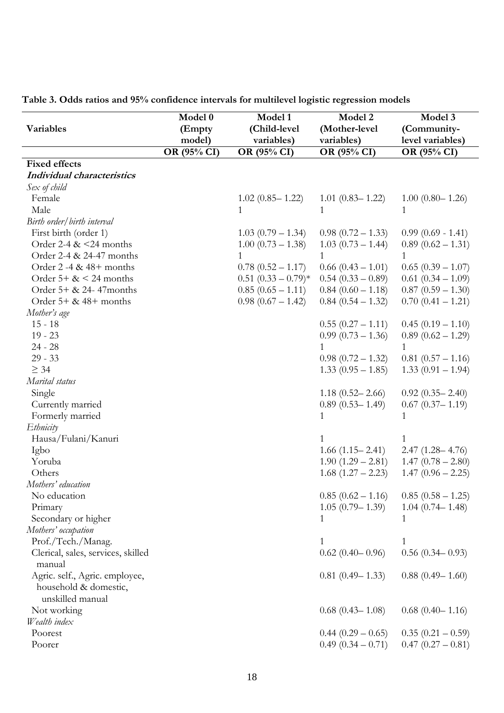| <b>Variables</b>                           | Model 0<br>(Empty | Model 1<br>(Child-level | Model 2<br>(Mother-level | Model 3<br>(Community- |
|--------------------------------------------|-------------------|-------------------------|--------------------------|------------------------|
|                                            | model)            | variables)              | variables)               | level variables)       |
|                                            | OR (95% CI)       | OR (95% CI)             | OR (95% CI)              | OR (95% CI)            |
| <b>Fixed effects</b>                       |                   |                         |                          |                        |
| Individual characteristics                 |                   |                         |                          |                        |
| Sex of child                               |                   |                         |                          |                        |
| Female                                     |                   | $1.02(0.85 - 1.22)$     | $1.01(0.83 - 1.22)$      | $1.00(0.80 - 1.26)$    |
| Male                                       |                   | 1                       | 1                        | 1                      |
| Birth order/birth interval                 |                   |                         |                          |                        |
| First birth (order 1)                      |                   | $1.03(0.79-1.34)$       | $0.98(0.72-1.33)$        | $0.99(0.69 - 1.41)$    |
| Order 2-4 & $\leq$ 24 months               |                   | $1.00$ (0.73 – 1.38)    | $1.03(0.73 - 1.44)$      | $0.89(0.62 - 1.31)$    |
| Order 2-4 & 24-47 months                   |                   | 1                       | 1                        | 1                      |
| Order $2 - 4 \& 48 +$ months               |                   | $0.78(0.52 - 1.17)$     | $0.66$ (0.43 – 1.01)     | $0.65(0.39 - 1.07)$    |
| Order $5+< 24$ months                      |                   | $0.51~(0.33-0.79)^{*}$  | $0.54$ (0.33 – 0.89)     | $0.61(0.34-1.09)$      |
| Order 5+ & 24-47 months                    |                   | $0.85(0.65 - 1.11)$     | $0.84(0.60 - 1.18)$      | $0.87(0.59 - 1.30)$    |
| Order $5+$ & $48+$ months                  |                   | $0.98(0.67 - 1.42)$     | $0.84(0.54 - 1.32)$      | $0.70(0.41 - 1.21)$    |
| Mother's age                               |                   |                         |                          |                        |
| $15 - 18$                                  |                   |                         | $0.55(0.27-1.11)$        | $0.45(0.19-1.10)$      |
| $19 - 23$                                  |                   |                         | $0.99(0.73 - 1.36)$      | $0.89$ $(0.62 - 1.29)$ |
| $24 - 28$                                  |                   |                         |                          | 1                      |
| $29 - 33$                                  |                   |                         | $0.98(0.72-1.32)$        | $0.81(0.57 - 1.16)$    |
| $\geq$ 34                                  |                   |                         | $1.33(0.95 - 1.85)$      | $1.33(0.91 - 1.94)$    |
| Marital status                             |                   |                         |                          |                        |
| Single                                     |                   |                         | $1.18(0.52 - 2.66)$      | $0.92(0.35 - 2.40)$    |
| Currently married                          |                   |                         | $0.89(0.53 - 1.49)$      | $0.67$ $(0.37 - 1.19)$ |
| Formerly married                           |                   |                         |                          |                        |
| Ethnicity                                  |                   |                         |                          |                        |
| Hausa/Fulani/Kanuri                        |                   |                         |                          |                        |
| Igbo                                       |                   |                         | $1.66(1.15-2.41)$        | $2.47(1.28 - 4.76)$    |
| Yoruba                                     |                   |                         | $1.90(1.29 - 2.81)$      | $1.47(0.78 - 2.80)$    |
| Others                                     |                   |                         | $1.68(1.27 - 2.23)$      | $1.47(0.96 - 2.25)$    |
| Mothers' education                         |                   |                         |                          |                        |
| No education                               |                   |                         | $0.85(0.62 - 1.16)$      | $0.85(0.58-1.25)$      |
| Primary                                    |                   |                         | $1.05(0.79 - 1.39)$      | $1.04(0.74 - 1.48)$    |
| Secondary or higher<br>Mothers' occupation |                   |                         | 1                        | 1                      |
| Prof./Tech./Manag.                         |                   |                         | 1                        | 1                      |
| Clerical, sales, services, skilled         |                   |                         | $0.62$ (0.40 - 0.96)     | $0.56(0.34 - 0.93)$    |
| manual                                     |                   |                         |                          |                        |
| Agric. self., Agric. employee,             |                   |                         | $0.81$ (0.49 - 1.33)     | $0.88(0.49 - 1.60)$    |
| household & domestic,                      |                   |                         |                          |                        |
| unskilled manual                           |                   |                         |                          |                        |
| Not working                                |                   |                         | $0.68$ (0.43 - 1.08)     | $0.68$ (0.40 - 1.16)   |
| Wealth index                               |                   |                         |                          |                        |
| Poorest                                    |                   |                         | $0.44(0.29-0.65)$        | $0.35(0.21-0.59)$      |
| Poorer                                     |                   |                         | $0.49(0.34 - 0.71)$      | $0.47$ $(0.27 - 0.81)$ |

**Table 3. Odds ratios and 95% confidence intervals for multilevel logistic regression models**